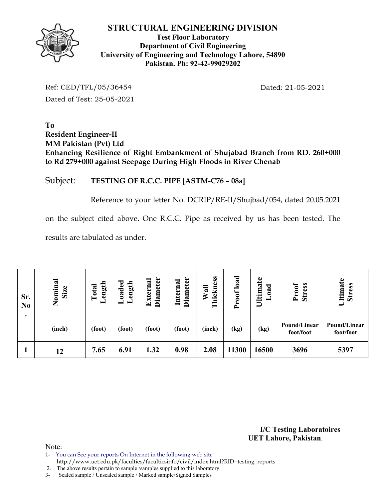

## **Test Floor Laboratory Department of Civil Engineering University of Engineering and Technology Lahore, 54890 Pakistan. Ph: 92-42-99029202**

Ref: CED/TFL/05/36454 Dated: 21-05-2021 Dated of Test: 25-05-2021

**To Resident Engineer-II MM Pakistan (Pvt) Ltd Enhancing Resilience of Right Embankment of Shujabad Branch from RD. 260+000 to Rd 279+000 against Seepage During High Floods in River Chenab** 

## Subject: **TESTING OF R.C.C. PIPE [ASTM-C76 – 08a]**

Reference to your letter No. DCRIP/RE-II/Shujbad/054, dated 20.05.2021

on the subject cited above. One R.C.C. Pipe as received by us has been tested. The

results are tabulated as under.

| Sr.<br>N <sub>0</sub><br>٠ | Nominal<br>Size | ength<br>Total<br>▬ | Loaded<br>ength | Diameter<br>Externa | <b>Diameter</b><br>Internal | hickness<br>Wall<br>⊟ | load<br>roof<br>$\sim$ | Ultimate<br>ಕ<br>$\boldsymbol{a}$ | Proof<br><b>Stress</b>    | Ultimate<br><b>Stress</b> |
|----------------------------|-----------------|---------------------|-----------------|---------------------|-----------------------------|-----------------------|------------------------|-----------------------------------|---------------------------|---------------------------|
|                            | (inch)          | (foot)              | (foot)          | (foot)              | (foot)                      | (inch)                | (kg)                   | (kg)                              | Pound/Linear<br>foot/foot | Pound/Linear<br>foot/foot |
|                            | 12              | 7.65                | 6.91            | 1.32                | 0.98                        | 2.08                  | 11300                  | 16500                             | 3696                      | 5397                      |

**I/C Testing Laboratoires UET Lahore, Pakistan**.

Note:

- 1- You can See your reports On Internet in the following web site
- http://www.uet.edu.pk/faculties/facultiesinfo/civil/index.html?RID=testing\_reports
- 2. The above results pertain to sample /samples supplied to this laboratory.
- 3- Sealed sample / Unsealed sample / Marked sample/Signed Samples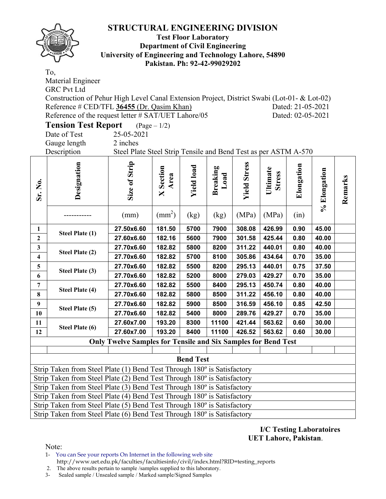

## **Test Floor Laboratory Department of Civil Engineering University of Engineering and Technology Lahore, 54890 Pakistan. Ph: 92-42-99029202**

|                         | To,                                                                                         |                                                                      |                       |                   |                         |                     |                           |                   |              |         |  |
|-------------------------|---------------------------------------------------------------------------------------------|----------------------------------------------------------------------|-----------------------|-------------------|-------------------------|---------------------|---------------------------|-------------------|--------------|---------|--|
|                         | Material Engineer                                                                           |                                                                      |                       |                   |                         |                     |                           |                   |              |         |  |
|                         | <b>GRC Pvt Ltd</b>                                                                          |                                                                      |                       |                   |                         |                     |                           |                   |              |         |  |
|                         | Construction of Pehur High Level Canal Extension Project, District Swabi (Lot-01- & Lot-02) |                                                                      |                       |                   |                         |                     |                           |                   |              |         |  |
|                         | Reference # CED/TFL 36455 (Dr. Qasim Khan)<br>Dated: 21-05-2021                             |                                                                      |                       |                   |                         |                     |                           |                   |              |         |  |
|                         | Reference of the request letter # SAT/UET Lahore/05                                         |                                                                      |                       |                   |                         |                     |                           | Dated: 02-05-2021 |              |         |  |
|                         | <b>Tension Test Report</b>                                                                  |                                                                      | $(\text{Page} - 1/2)$ |                   |                         |                     |                           |                   |              |         |  |
|                         | 25-05-2021<br>Date of Test                                                                  |                                                                      |                       |                   |                         |                     |                           |                   |              |         |  |
|                         | Gauge length<br>2 inches                                                                    |                                                                      |                       |                   |                         |                     |                           |                   |              |         |  |
|                         | Steel Plate Steel Strip Tensile and Bend Test as per ASTM A-570<br>Description              |                                                                      |                       |                   |                         |                     |                           |                   |              |         |  |
| Sr. No.                 | Designation                                                                                 | Size of Strip                                                        | Section<br>Area<br>X  | <b>Yield load</b> | <b>Breaking</b><br>Load | <b>Yield Stress</b> | Ultimate<br><b>Stress</b> | Elongation        | % Elongation | Remarks |  |
|                         |                                                                                             | (mm)                                                                 | $\text{(mm}^2)$       | (kg)              | (kg)                    | (MPa)               | (MPa)                     | (in)              |              |         |  |
| $\mathbf{1}$            | Steel Plate (1)                                                                             | 27.50x6.60                                                           | 181.50                | 5700              | 7900                    | 308.08              | 426.99                    | 0.90              | 45.00        |         |  |
| $\mathbf{2}$            |                                                                                             | 27.60x6.60                                                           | 182.16                | 5600              | 7900                    | 301.58              | 425.44                    | 0.80              | 40.00        |         |  |
| $\mathbf{3}$            | Steel Plate (2)                                                                             | 27.70x6.60                                                           | 182.82                | 5800              | 8200                    | 311.22              | 440.01                    | 0.80              | 40.00        |         |  |
| $\overline{\mathbf{4}}$ |                                                                                             | 27.70x6.60                                                           | 182.82                | 5700              | 8100                    | 305.86              | 434.64                    | 0.70              | 35.00        |         |  |
| $\overline{\mathbf{5}}$ | Steel Plate (3)                                                                             | 27.70x6.60                                                           | 182.82                | 5500              | 8200                    | 295.13              | 440.01                    | 0.75              | 37.50        |         |  |
| $\boldsymbol{6}$        |                                                                                             | 27.70x6.60                                                           | 182.82                | 5200              | 8000                    | 279.03              | 429.27                    | 0.70              | 35.00        |         |  |
| $\overline{7}$          | Steel Plate (4)                                                                             | 27.70x6.60                                                           | 182.82                | 5500              | 8400                    | 295.13              | 450.74                    | 0.80              | 40.00        |         |  |
| 8                       |                                                                                             | 27.70x6.60                                                           | 182.82                | 5800              | 8500                    | 311.22              | 456.10                    | 0.80              | 40.00        |         |  |
| $\boldsymbol{9}$        | Steel Plate (5)                                                                             | 27.70x6.60                                                           | 182.82                | 5900              | 8500                    | 316.59              | 456.10                    | 0.85              | 42.50        |         |  |
| 10                      |                                                                                             | 27.70x6.60                                                           | 182.82                | 5400              | 8000                    | 289.76              | 429.27                    | 0.70              | 35.00        |         |  |
| 11                      | Steel Plate (6)                                                                             | 27.60x7.00                                                           | 193.20                | 8300              | 11100                   | 421.44              | 563.62                    | 0.60              | 30.00        |         |  |
| 12                      |                                                                                             | 27.60x7.00                                                           | 193.20                | 8400              | 11100                   | 426.52              | 563.62                    | 0.60              | 30.00        |         |  |
|                         |                                                                                             | <b>Only Twelve Samples for Tensile and Six Samples for Bend Test</b> |                       |                   |                         |                     |                           |                   |              |         |  |
|                         |                                                                                             |                                                                      |                       |                   |                         |                     |                           |                   |              |         |  |
|                         |                                                                                             |                                                                      |                       | <b>Bend Test</b>  |                         |                     |                           |                   |              |         |  |
|                         | Strip Taken from Steel Plate (1) Bend Test Through 180° is Satisfactory                     |                                                                      |                       |                   |                         |                     |                           |                   |              |         |  |
|                         | Strip Taken from Steel Plate (2) Bend Test Through 180° is Satisfactory                     |                                                                      |                       |                   |                         |                     |                           |                   |              |         |  |
|                         | Strip Taken from Steel Plate (3) Bend Test Through 180° is Satisfactory                     |                                                                      |                       |                   |                         |                     |                           |                   |              |         |  |
|                         | Strip Taken from Steel Plate (4) Bend Test Through 180 <sup>°</sup> is Satisfactory         |                                                                      |                       |                   |                         |                     |                           |                   |              |         |  |
|                         | Strip Taken from Steel Plate (5) Bend Test Through 180° is Satisfactory                     |                                                                      |                       |                   |                         |                     |                           |                   |              |         |  |
|                         | Strip Taken from Steel Plate (6) Bend Test Through 180° is Satisfactory                     |                                                                      |                       |                   |                         |                     |                           |                   |              |         |  |

**I/C Testing Laboratoires UET Lahore, Pakistan**.

Note:

1- You can See your reports On Internet in the following web site http://www.uet.edu.pk/faculties/facultiesinfo/civil/index.html?RID=testing\_reports

2. The above results pertain to sample / samples supplied to this laboratory.<br>3- Sealed sample / Unsealed sample / Marked sample/Signed Samples

Sealed sample / Unsealed sample / Marked sample/Signed Samples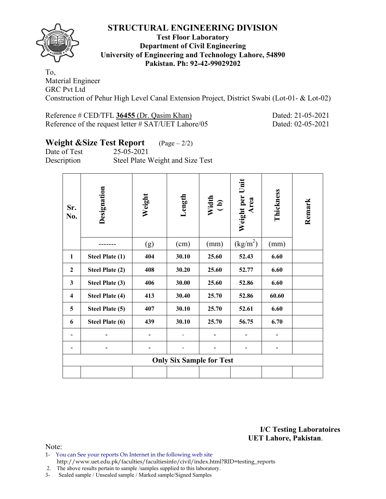

## **Test Floor Laboratory Department of Civil Engineering University of Engineering and Technology Lahore, 54890 Pakistan. Ph: 92-42-99029202**

To, Material Engineer GRC Pvt Ltd Construction of Pehur High Level Canal Extension Project, District Swabi (Lot-01- & Lot-02)

| Reference # CED/TFL 36455 (Dr. Qasim Khan)          |
|-----------------------------------------------------|
| Reference of the request letter # SAT/UET Lahore/05 |

Dated: 21-05-2021 Dated: 02-05-2021

# **Weight &Size Test Report** (Page – 2/2)

Date of Test 25-05-2021

Description Steel Plate Weight and Size Test

| Sr.<br>No.              | Designation            | Weight | Length                          | Width<br>(b) | Weight per Unit<br>Area        | <b>Thickness</b> | Remark |
|-------------------------|------------------------|--------|---------------------------------|--------------|--------------------------------|------------------|--------|
|                         |                        | (g)    | (cm)                            | (mm)         | $\frac{\text{kg}}{\text{m}^2}$ | (mm)             |        |
| 1                       | <b>Steel Plate (1)</b> | 404    | 30.10                           | 25.60        | 52.43                          | 6.60             |        |
| $\overline{2}$          | <b>Steel Plate (2)</b> | 408    | 30.20                           | 25.60        | 52.77                          | 6.60             |        |
| 3                       | <b>Steel Plate (3)</b> | 406    | 30.00                           | 25.60        | 52.86                          | 6.60             |        |
| $\overline{\mathbf{4}}$ | <b>Steel Plate (4)</b> | 413    | 30.40                           | 25.70        | 52.86                          | 60.60            |        |
| 5                       | <b>Steel Plate (5)</b> | 407    | 30.10                           | 25.70        | 52.61                          | 6.60             |        |
| 6                       | <b>Steel Plate (6)</b> | 439    | 30.10                           | 25.70        | 56.75                          | 6.70             |        |
|                         |                        |        |                                 |              |                                |                  |        |
|                         |                        |        |                                 |              |                                |                  |        |
|                         |                        |        | <b>Only Six Sample for Test</b> |              |                                |                  |        |
|                         |                        |        |                                 |              |                                |                  |        |

**I/C Testing Laboratoires UET Lahore, Pakistan**.

Note:

- 1- You can See your reports On Internet in the following web site http://www.uet.edu.pk/faculties/facultiesinfo/civil/index.html?RID=testing\_reports
- 2. The above results pertain to sample /samples supplied to this laboratory.
- 3- Sealed sample / Unsealed sample / Marked sample/Signed Samples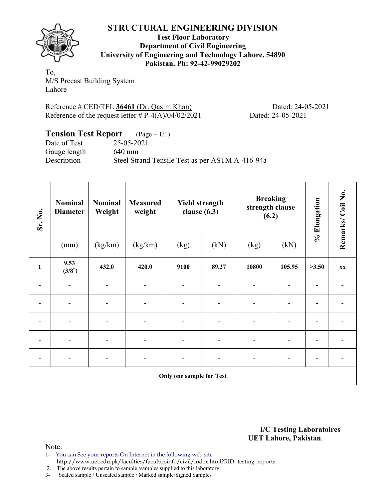

**Test Floor Laboratory Department of Civil Engineering University of Engineering and Technology Lahore, 54890 Pakistan. Ph: 92-42-99029202** 

To, M/S Precast Building System Lahore

Reference # CED/TFL 36461 (Dr. Qasim Khan) Dated: 24-05-2021 Reference of the request letter  $# P-4(A)/04/02/2021$  Dated: 24-05-2021

| <b>Tension Test Report</b> $(Page-1/1)$ |                                                 |
|-----------------------------------------|-------------------------------------------------|
| Date of Test                            | 25-05-2021                                      |
| Gauge length                            | $640 \text{ mm}$                                |
| Description                             | Steel Strand Tensile Test as per ASTM A-416-94a |

| Sr. No.      | <b>Nominal</b><br><b>Diameter</b> | <b>Nominal</b><br>Weight | <b>Measured</b><br>weight    |      | <b>Yield strength</b><br>clause $(6.3)$ | <b>Breaking</b><br>strength clause<br>(6.2) |                              | % Elongation | Remarks/Coil No. |  |
|--------------|-----------------------------------|--------------------------|------------------------------|------|-----------------------------------------|---------------------------------------------|------------------------------|--------------|------------------|--|
|              | (mm)                              | (kg/km)                  | (kg/km)                      | (kg) | (kN)                                    | (kg)                                        | (kN)                         |              |                  |  |
| $\mathbf{1}$ | 9.53<br>(3/8")                    | 432.0                    | 420.0                        | 9100 | 89.27                                   | 10800                                       | 105.95                       | >3.50        | XX               |  |
|              |                                   |                          |                              |      |                                         |                                             |                              |              |                  |  |
|              |                                   |                          |                              |      |                                         |                                             |                              |              |                  |  |
|              |                                   |                          | $\overline{\phantom{0}}$     |      | $\blacksquare$                          | $\overline{\phantom{0}}$                    | -                            |              |                  |  |
|              |                                   |                          |                              |      |                                         |                                             |                              |              |                  |  |
|              | $\qquad \qquad \blacksquare$      |                          | $\qquad \qquad \blacksquare$ |      | $\overline{\phantom{a}}$                | $\blacksquare$                              | $\qquad \qquad \blacksquare$ | -            |                  |  |
|              | <b>Only one sample for Test</b>   |                          |                              |      |                                         |                                             |                              |              |                  |  |

**I/C Testing Laboratoires UET Lahore, Pakistan**.

Note:

1- You can See your reports On Internet in the following web site http://www.uet.edu.pk/faculties/facultiesinfo/civil/index.html?RID=testing\_reports

2. The above results pertain to sample /samples supplied to this laboratory.

3- Sealed sample / Unsealed sample / Marked sample/Signed Samples